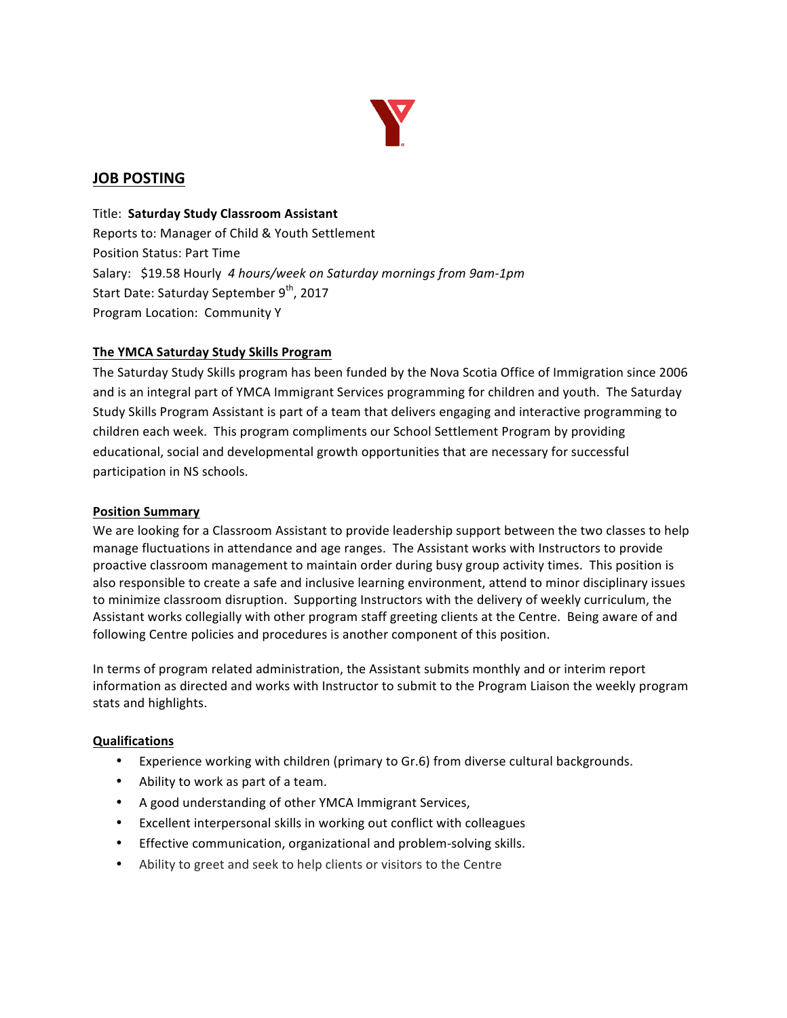

# **JOB POSTING**

**Title: Saturday Study Classroom Assistant** Reports to: Manager of Child & Youth Settlement Position Status: Part Time Salary: \$19.58 Hourly 4 hours/week on Saturday mornings from 9am-1pm Start Date: Saturday September 9<sup>th</sup>, 2017 Program Location: Community Y

### **The YMCA Saturday Study Skills Program**

The Saturday Study Skills program has been funded by the Nova Scotia Office of Immigration since 2006 and is an integral part of YMCA Immigrant Services programming for children and youth. The Saturday Study Skills Program Assistant is part of a team that delivers engaging and interactive programming to children each week. This program compliments our School Settlement Program by providing educational, social and developmental growth opportunities that are necessary for successful participation in NS schools.

#### **Position Summary**

We are looking for a Classroom Assistant to provide leadership support between the two classes to help manage fluctuations in attendance and age ranges. The Assistant works with Instructors to provide proactive classroom management to maintain order during busy group activity times. This position is also responsible to create a safe and inclusive learning environment, attend to minor disciplinary issues to minimize classroom disruption. Supporting Instructors with the delivery of weekly curriculum, the Assistant works collegially with other program staff greeting clients at the Centre. Being aware of and following Centre policies and procedures is another component of this position.

In terms of program related administration, the Assistant submits monthly and or interim report information as directed and works with Instructor to submit to the Program Liaison the weekly program stats and highlights.

#### **Qualifications**

- Experience working with children (primary to Gr.6) from diverse cultural backgrounds.
- Ability to work as part of a team.
- A good understanding of other YMCA Immigrant Services,
- Excellent interpersonal skills in working out conflict with colleagues
- Effective communication, organizational and problem-solving skills.
- Ability to greet and seek to help clients or visitors to the Centre